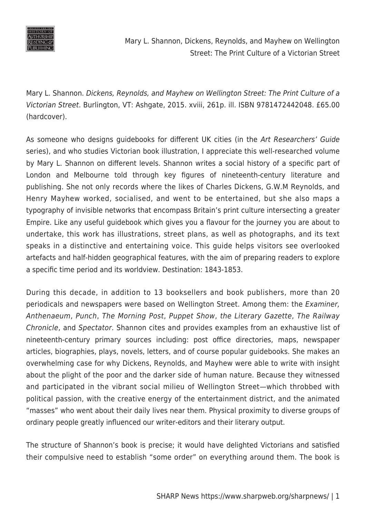

Mary L. Shannon, Dickens, Reynolds, and Mayhew on Wellington Street: The Print Culture of a Victorian Street

Mary L. Shannon. Dickens, Reynolds, and Mayhew on Wellington Street: The Print Culture of a Victorian Street. Burlington, VT: Ashgate, 2015. xviii, 261p. ill. ISBN 9781472442048. £65.00 (hardcover).

As someone who designs guidebooks for different UK cities (in the Art Researchers' Guide series), and who studies Victorian book illustration, I appreciate this well-researched volume by Mary L. Shannon on different levels. Shannon writes a social history of a specific part of London and Melbourne told through key figures of nineteenth-century literature and publishing. She not only records where the likes of Charles Dickens, G.W.M Reynolds, and Henry Mayhew worked, socialised, and went to be entertained, but she also maps a typography of invisible networks that encompass Britain's print culture intersecting a greater Empire. Like any useful guidebook which gives you a flavour for the journey you are about to undertake, this work has illustrations, street plans, as well as photographs, and its text speaks in a distinctive and entertaining voice. This guide helps visitors see overlooked artefacts and half-hidden geographical features, with the aim of preparing readers to explore a specific time period and its worldview. Destination: 1843-1853.

During this decade, in addition to 13 booksellers and book publishers, more than 20 periodicals and newspapers were based on Wellington Street. Among them: the Examiner, Anthenaeum, Punch, The Morning Post, Puppet Show, the Literary Gazette, The Railway Chronicle, and Spectator. Shannon cites and provides examples from an exhaustive list of nineteenth-century primary sources including: post office directories, maps, newspaper articles, biographies, plays, novels, letters, and of course popular guidebooks. She makes an overwhelming case for why Dickens, Reynolds, and Mayhew were able to write with insight about the plight of the poor and the darker side of human nature. Because they witnessed and participated in the vibrant social milieu of Wellington Street—which throbbed with political passion, with the creative energy of the entertainment district, and the animated "masses" who went about their daily lives near them. Physical proximity to diverse groups of ordinary people greatly influenced our writer-editors and their literary output.

The structure of Shannon's book is precise; it would have delighted Victorians and satisfied their compulsive need to establish "some order" on everything around them. The book is